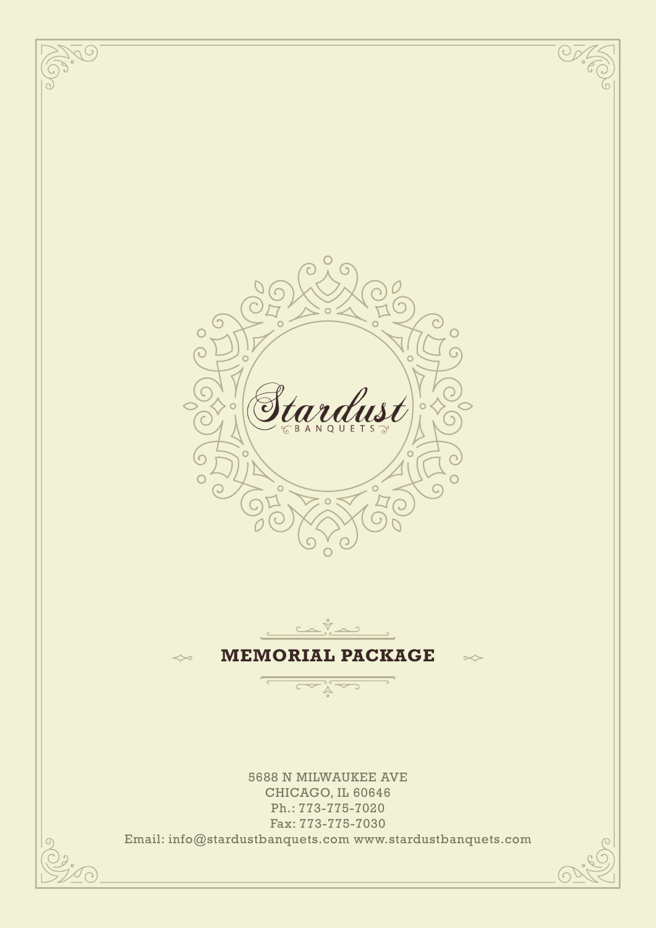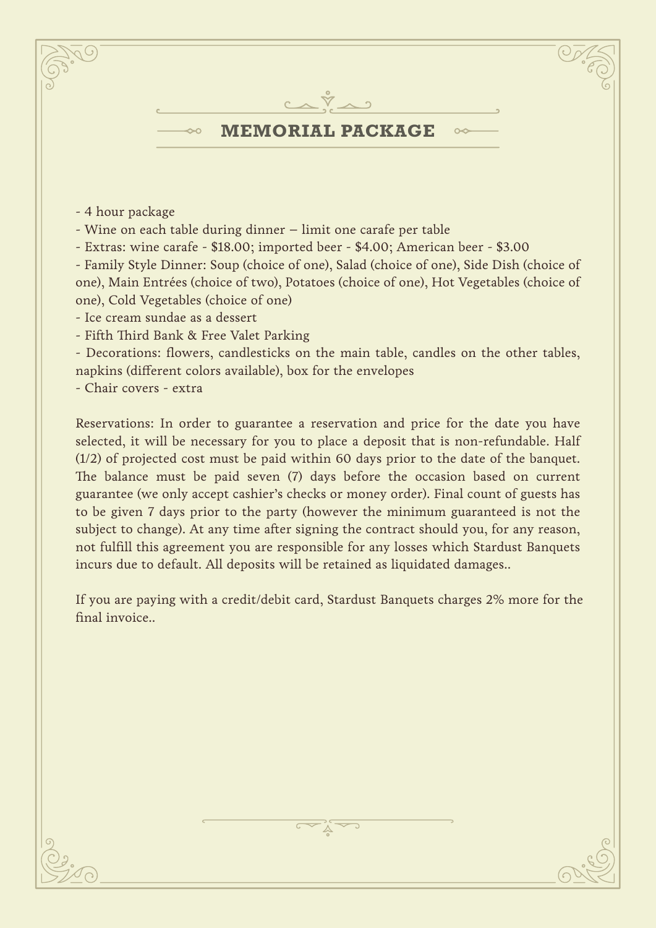

- 4 hour package
- Wine on each table during dinner limit one carafe per table
- Extras: wine carafe \$18.00; imported beer \$4.00; American beer \$3.00

- Family Style Dinner: Soup (choice of one), Salad (choice of one), Side Dish (choice of one), Main Entrées (choice of two), Potatoes (choice of one), Hot Vegetables (choice of one), Cold Vegetables (choice of one)

- Ice cream sundae as a dessert

- Fifth Third Bank & Free Valet Parking

- Decorations: flowers, candlesticks on the main table, candles on the other tables, napkins (different colors available), box for the envelopes

- Chair covers - extra

Reservations: In order to guarantee a reservation and price for the date you have selected, it will be necessary for you to place a deposit that is non-refundable. Half (1/2) of projected cost must be paid within 60 days prior to the date of the banquet. The balance must be paid seven (7) days before the occasion based on current guarantee (we only accept cashier's checks or money order). Final count of guests has to be given 7 days prior to the party (however the minimum guaranteed is not the subject to change). At any time after signing the contract should you, for any reason, not fulfill this agreement you are responsible for any losses which Stardust Banquets incurs due to default. All deposits will be retained as liquidated damages..

If you are paying with a credit/debit card, Stardust Banquets charges 2% more for the final invoice..

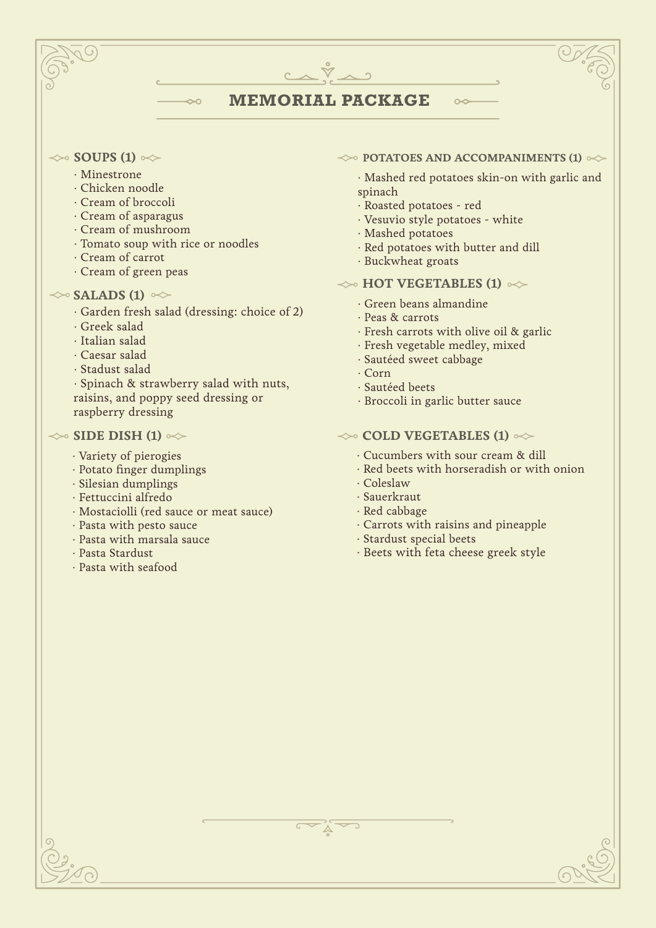# **MEMORIAL PACKAGE**

 $C\wedge\breve{\nabla}\wedge 2$ 

## $\ll$  **SOUPS (1)**  $\ll$

- · Minestrone
- · Chicken noodle
- · Cream of broccoli
- · Cream of asparagus
- · Cream of mushroom
- · Tomato soup with rice or noodles
- · Cream of carrot
- · Cream of green peas

# $\gg$  **SALADS (1)**  $\approx$

· Garden fresh salad (dressing: choice of 2)

 $\sim$ 

- · Greek salad
- · Italian salad
- · Caesar salad
- · Stadust salad

· Spinach & strawberry salad with nuts, raisins, and poppy seed dressing or raspberry dressing

## $\gg$  **SIDE DISH (1)**  $\ll$

- · Variety of pierogies
- · Potato finger dumplings
- · Silesian dumplings
- · Fettuccini alfredo
- · Mostaciolli (red sauce or meat sauce)
- · Pasta with pesto sauce
- · Pasta with marsala sauce
- · Pasta Stardust
- · Pasta with seafood

## $\leftrightarrow$  **POTATOES AND ACCOMPANIMENTS (1)**  $\leftrightarrow$

 $\sim$ 

- · Mashed red potatoes skin-on with garlic and spinach
- · Roasted potatoes red
- · Vesuvio style potatoes white
- · Mashed potatoes
- · Red potatoes with butter and dill
- · Buckwheat groats

# $\gg$  **HOT VEGETABLES (1)**  $\ll$

- · Green beans almandine
- · Peas & carrots
- · Fresh carrots with olive oil & garlic
- · Fresh vegetable medley, mixed
- · Sautéed sweet cabbage
- · Corn
- · Sautéed beets
- · Broccoli in garlic butter sauce

# $\leftrightarrow$  **COLD VEGETABLES (1)**  $\leftrightarrow$

- · Cucumbers with sour cream & dill
- · Red beets with horseradish or with onion
- · Coleslaw
- · Sauerkraut
- · Red cabbage
- · Carrots with raisins and pineapple
- · Stardust special beets
- · Beets with feta cheese greek style